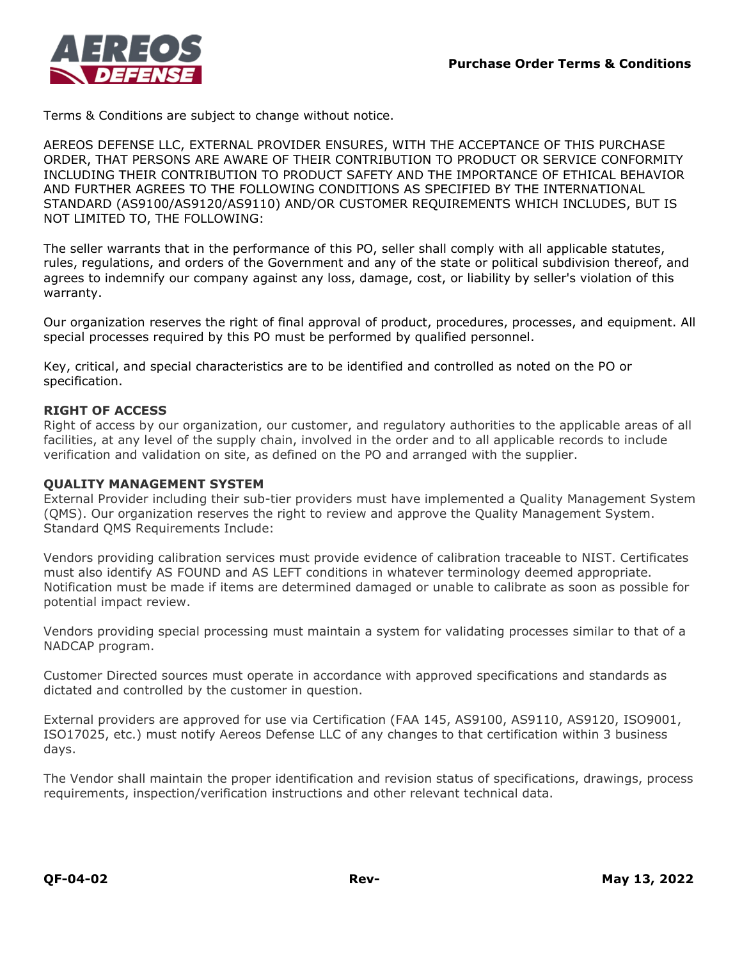

Terms & Conditions are subject to change without notice.

AEREOS DEFENSE LLC, EXTERNAL PROVIDER ENSURES, WITH THE ACCEPTANCE OF THIS PURCHASE ORDER, THAT PERSONS ARE AWARE OF THEIR CONTRIBUTION TO PRODUCT OR SERVICE CONFORMITY INCLUDING THEIR CONTRIBUTION TO PRODUCT SAFETY AND THE IMPORTANCE OF ETHICAL BEHAVIOR AND FURTHER AGREES TO THE FOLLOWING CONDITIONS AS SPECIFIED BY THE INTERNATIONAL STANDARD (AS9100/AS9120/AS9110) AND/OR CUSTOMER REQUIREMENTS WHICH INCLUDES, BUT IS NOT LIMITED TO, THE FOLLOWING:

The seller warrants that in the performance of this PO, seller shall comply with all applicable statutes, rules, regulations, and orders of the Government and any of the state or political subdivision thereof, and agrees to indemnify our company against any loss, damage, cost, or liability by seller's violation of this warranty.

Our organization reserves the right of final approval of product, procedures, processes, and equipment. All special processes required by this PO must be performed by qualified personnel.

Key, critical, and special characteristics are to be identified and controlled as noted on the PO or specification.

# **RIGHT OF ACCESS**

Right of access by our organization, our customer, and regulatory authorities to the applicable areas of all facilities, at any level of the supply chain, involved in the order and to all applicable records to include verification and validation on site, as defined on the PO and arranged with the supplier.

## **QUALITY MANAGEMENT SYSTEM**

External Provider including their sub-tier providers must have implemented a Quality Management System (QMS). Our organization reserves the right to review and approve the Quality Management System. Standard QMS Requirements Include:

Vendors providing calibration services must provide evidence of calibration traceable to NIST. Certificates must also identify AS FOUND and AS LEFT conditions in whatever terminology deemed appropriate. Notification must be made if items are determined damaged or unable to calibrate as soon as possible for potential impact review.

Vendors providing special processing must maintain a system for validating processes similar to that of a NADCAP program.

Customer Directed sources must operate in accordance with approved specifications and standards as dictated and controlled by the customer in question.

External providers are approved for use via Certification (FAA 145, AS9100, AS9110, AS9120, ISO9001, ISO17025, etc.) must notify Aereos Defense LLC of any changes to that certification within 3 business days.

The Vendor shall maintain the proper identification and revision status of specifications, drawings, process requirements, inspection/verification instructions and other relevant technical data.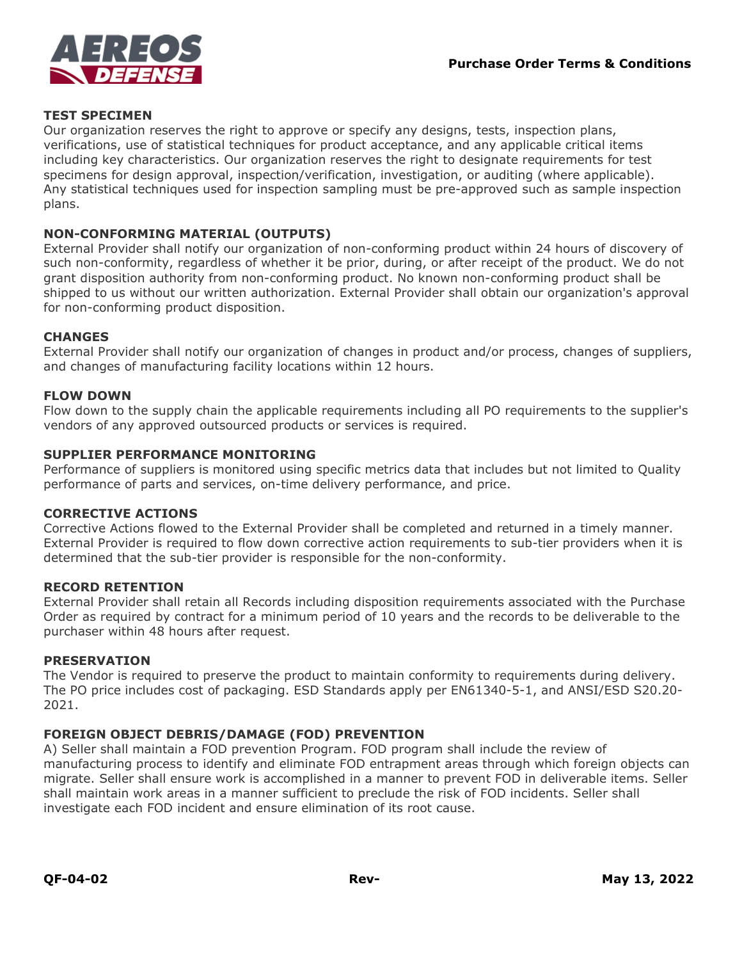

## **TEST SPECIMEN**

Our organization reserves the right to approve or specify any designs, tests, inspection plans, verifications, use of statistical techniques for product acceptance, and any applicable critical items including key characteristics. Our organization reserves the right to designate requirements for test specimens for design approval, inspection/verification, investigation, or auditing (where applicable). Any statistical techniques used for inspection sampling must be pre-approved such as sample inspection plans.

## **NON-CONFORMING MATERIAL (OUTPUTS)**

External Provider shall notify our organization of non-conforming product within 24 hours of discovery of such non-conformity, regardless of whether it be prior, during, or after receipt of the product. We do not grant disposition authority from non-conforming product. No known non-conforming product shall be shipped to us without our written authorization. External Provider shall obtain our organization's approval for non-conforming product disposition.

#### **CHANGES**

External Provider shall notify our organization of changes in product and/or process, changes of suppliers, and changes of manufacturing facility locations within 12 hours.

#### **FLOW DOWN**

Flow down to the supply chain the applicable requirements including all PO requirements to the supplier's vendors of any approved outsourced products or services is required.

#### **SUPPLIER PERFORMANCE MONITORING**

Performance of suppliers is monitored using specific metrics data that includes but not limited to Quality performance of parts and services, on-time delivery performance, and price.

#### **CORRECTIVE ACTIONS**

Corrective Actions flowed to the External Provider shall be completed and returned in a timely manner. External Provider is required to flow down corrective action requirements to sub-tier providers when it is determined that the sub-tier provider is responsible for the non-conformity.

## **RECORD RETENTION**

External Provider shall retain all Records including disposition requirements associated with the Purchase Order as required by contract for a minimum period of 10 years and the records to be deliverable to the purchaser within 48 hours after request.

### **PRESERVATION**

The Vendor is required to preserve the product to maintain conformity to requirements during delivery. The PO price includes cost of packaging. ESD Standards apply per EN61340-5-1, and ANSI/ESD S20.20- 2021.

## **FOREIGN OBJECT DEBRIS/DAMAGE (FOD) PREVENTION**

A) Seller shall maintain a FOD prevention Program. FOD program shall include the review of manufacturing process to identify and eliminate FOD entrapment areas through which foreign objects can migrate. Seller shall ensure work is accomplished in a manner to prevent FOD in deliverable items. Seller shall maintain work areas in a manner sufficient to preclude the risk of FOD incidents. Seller shall investigate each FOD incident and ensure elimination of its root cause.